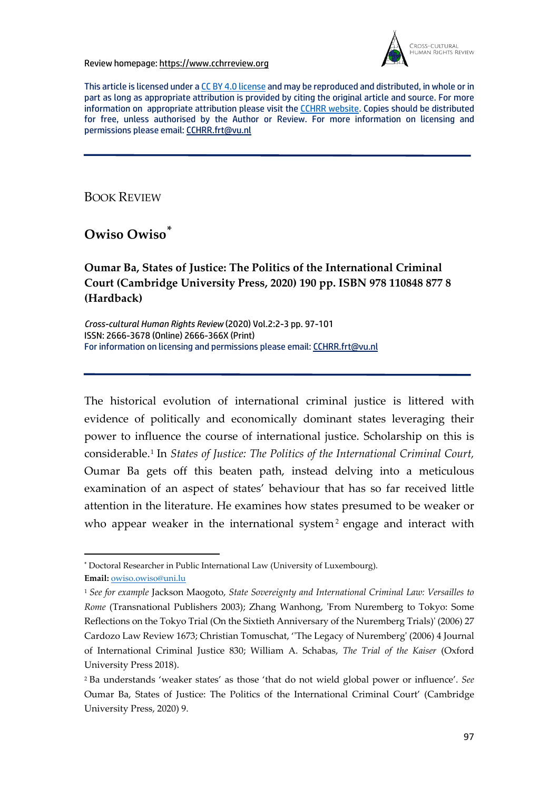Review homepage: https://www.cchrreview.org



This article is licensed under a CC BY 4.0 license and may be reproduced and distributed, in whole or in part as long as appropriate attribution is provided by citing the original article and source. For more information on appropriate attribution please visit the CCHRR website. Copies should be distributed for free, unless authorised by the Author or Review. For more information on licensing and permissions please email: CCHRR.frt@vu.nl

BOOK REVIEW

**Owiso Owiso\***

**Oumar Ba, States of Justice: The Politics of the International Criminal Court (Cambridge University Press, 2020) 190 pp. ISBN 978 110848 877 8 (Hardback)**

*Cross-cultural Human Rights Review* (2020) Vol.2:2-3 pp. 97-101 ISSN: 2666-3678 (Online) 2666-366X (Print) For information on licensing and permissions please email: CCHRR.frt@vu.nl

The historical evolution of international criminal justice is littered with evidence of politically and economically dominant states leveraging their power to influence the course of international justice. Scholarship on this is considerable.1 In *States of Justice: The Politics of the International Criminal Court,*  Oumar Ba gets off this beaten path, instead delving into a meticulous examination of an aspect of states' behaviour that has so far received little attention in the literature. He examines how states presumed to be weaker or who appear weaker in the international system<sup>2</sup> engage and interact with

**<sup>\*</sup>** Doctoral Researcher in Public International Law (University of Luxembourg). **Email:** owiso.owiso@uni.lu

<sup>1</sup> *See for example* Jackson Maogoto, *State Sovereignty and International Criminal Law: Versailles to Rome* (Transnational Publishers 2003); Zhang Wanhong, 'From Nuremberg to Tokyo: Some Reflections on the Tokyo Trial (On the Sixtieth Anniversary of the Nuremberg Trials)' (2006) 27 Cardozo Law Review 1673; Christian Tomuschat, ''The Legacy of Nuremberg' (2006) 4 Journal of International Criminal Justice 830; William A. Schabas, *The Trial of the Kaiser* (Oxford University Press 2018).

<sup>2</sup> Ba understands 'weaker states' as those 'that do not wield global power or influence'. *See* Oumar Ba, States of Justice: The Politics of the International Criminal Court' (Cambridge University Press, 2020) 9.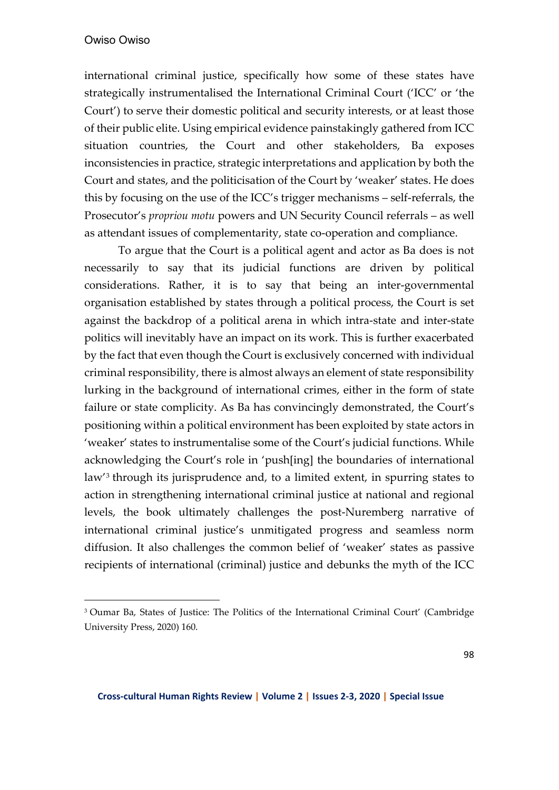## Owiso Owiso

international criminal justice, specifically how some of these states have strategically instrumentalised the International Criminal Court ('ICC' or 'the Court') to serve their domestic political and security interests, or at least those of their public elite. Using empirical evidence painstakingly gathered from ICC situation countries, the Court and other stakeholders, Ba exposes inconsistencies in practice, strategic interpretations and application by both the Court and states, and the politicisation of the Court by 'weaker' states. He does this by focusing on the use of the ICC's trigger mechanisms – self-referrals, the Prosecutor's *propriou motu* powers and UN Security Council referrals – as well as attendant issues of complementarity, state co-operation and compliance.

To argue that the Court is a political agent and actor as Ba does is not necessarily to say that its judicial functions are driven by political considerations. Rather, it is to say that being an inter-governmental organisation established by states through a political process, the Court is set against the backdrop of a political arena in which intra-state and inter-state politics will inevitably have an impact on its work. This is further exacerbated by the fact that even though the Court is exclusively concerned with individual criminal responsibility, there is almost always an element of state responsibility lurking in the background of international crimes, either in the form of state failure or state complicity. As Ba has convincingly demonstrated, the Court's positioning within a political environment has been exploited by state actors in 'weaker' states to instrumentalise some of the Court's judicial functions. While acknowledging the Court's role in 'push[ing] the boundaries of international law'3 through its jurisprudence and, to a limited extent, in spurring states to action in strengthening international criminal justice at national and regional levels, the book ultimately challenges the post-Nuremberg narrative of international criminal justice's unmitigated progress and seamless norm diffusion. It also challenges the common belief of 'weaker' states as passive recipients of international (criminal) justice and debunks the myth of the ICC

<sup>&</sup>lt;sup>3</sup> Oumar Ba, States of Justice: The Politics of the International Criminal Court' (Cambridge University Press, 2020) 160.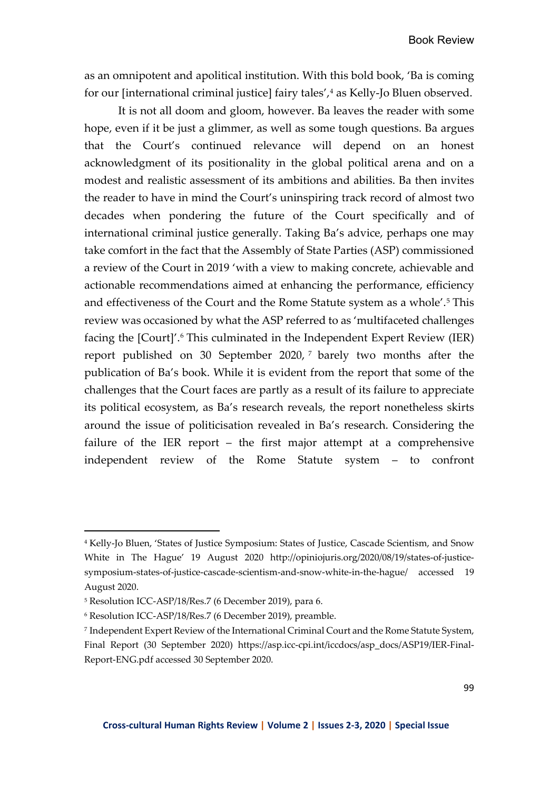as an omnipotent and apolitical institution. With this bold book, 'Ba is coming for our [international criminal justice] fairy tales',<sup>4</sup> as Kelly-Jo Bluen observed.

It is not all doom and gloom, however. Ba leaves the reader with some hope, even if it be just a glimmer, as well as some tough questions. Ba argues that the Court's continued relevance will depend on an honest acknowledgment of its positionality in the global political arena and on a modest and realistic assessment of its ambitions and abilities. Ba then invites the reader to have in mind the Court's uninspiring track record of almost two decades when pondering the future of the Court specifically and of international criminal justice generally. Taking Ba's advice, perhaps one may take comfort in the fact that the Assembly of State Parties (ASP) commissioned a review of the Court in 2019 'with a view to making concrete, achievable and actionable recommendations aimed at enhancing the performance, efficiency and effectiveness of the Court and the Rome Statute system as a whole'.5 This review was occasioned by what the ASP referred to as 'multifaceted challenges facing the [Court]'.<sup>6</sup> This culminated in the Independent Expert Review (IER) report published on 30 September 2020, <sup>7</sup> barely two months after the publication of Ba's book. While it is evident from the report that some of the challenges that the Court faces are partly as a result of its failure to appreciate its political ecosystem, as Ba's research reveals, the report nonetheless skirts around the issue of politicisation revealed in Ba's research. Considering the failure of the IER report – the first major attempt at a comprehensive independent review of the Rome Statute system – to confront

<sup>4</sup> Kelly-Jo Bluen, 'States of Justice Symposium: States of Justice, Cascade Scientism, and Snow White in The Hague' 19 August 2020 http://opiniojuris.org/2020/08/19/states-of-justicesymposium-states-of-justice-cascade-scientism-and-snow-white-in-the-hague/ accessed 19 August 2020.

<sup>5</sup> Resolution ICC-ASP/18/Res.7 (6 December 2019), para 6.

<sup>6</sup> Resolution ICC-ASP/18/Res.7 (6 December 2019), preamble.

<sup>7</sup> Independent Expert Review of the International Criminal Court and the Rome Statute System, Final Report (30 September 2020) https://asp.icc-cpi.int/iccdocs/asp\_docs/ASP19/IER-Final-Report-ENG.pdf accessed 30 September 2020.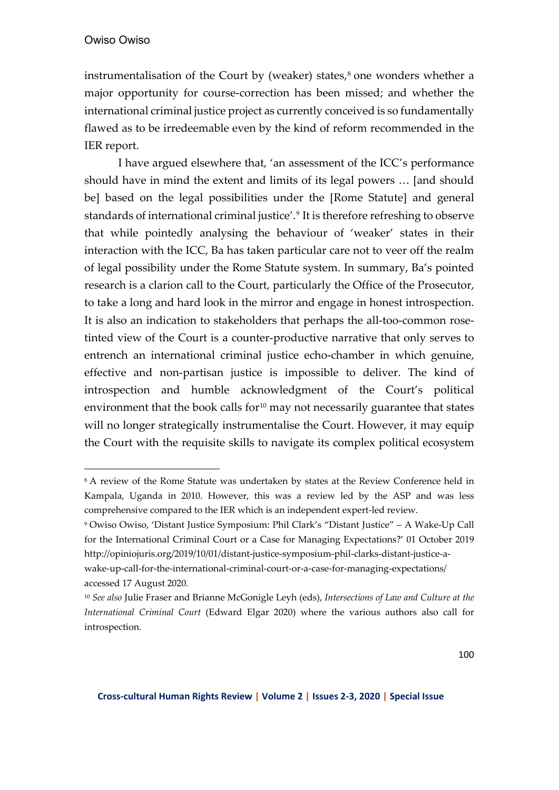instrumentalisation of the Court by (weaker) states, $8$  one wonders whether a major opportunity for course-correction has been missed; and whether the international criminal justice project as currently conceived is so fundamentally flawed as to be irredeemable even by the kind of reform recommended in the IER report.

I have argued elsewhere that, 'an assessment of the ICC's performance should have in mind the extent and limits of its legal powers … [and should be] based on the legal possibilities under the [Rome Statute] and general standards of international criminal justice'.9 It is therefore refreshing to observe that while pointedly analysing the behaviour of 'weaker' states in their interaction with the ICC, Ba has taken particular care not to veer off the realm of legal possibility under the Rome Statute system. In summary, Ba's pointed research is a clarion call to the Court, particularly the Office of the Prosecutor, to take a long and hard look in the mirror and engage in honest introspection. It is also an indication to stakeholders that perhaps the all-too-common rosetinted view of the Court is a counter-productive narrative that only serves to entrench an international criminal justice echo-chamber in which genuine, effective and non-partisan justice is impossible to deliver. The kind of introspection and humble acknowledgment of the Court's political environment that the book calls for $10$  may not necessarily guarantee that states will no longer strategically instrumentalise the Court. However, it may equip the Court with the requisite skills to navigate its complex political ecosystem

<sup>&</sup>lt;sup>8</sup> A review of the Rome Statute was undertaken by states at the Review Conference held in Kampala, Uganda in 2010. However, this was a review led by the ASP and was less comprehensive compared to the IER which is an independent expert-led review.

<sup>9</sup> Owiso Owiso, 'Distant Justice Symposium: Phil Clark's "Distant Justice" – A Wake-Up Call for the International Criminal Court or a Case for Managing Expectations?' 01 October 2019 http://opiniojuris.org/2019/10/01/distant-justice-symposium-phil-clarks-distant-justice-awake-up-call-for-the-international-criminal-court-or-a-case-for-managing-expectations/ accessed 17 August 2020.

<sup>10</sup> *See also* Julie Fraser and Brianne McGonigle Leyh (eds), *Intersections of Law and Culture at the International Criminal Court* (Edward Elgar 2020) where the various authors also call for introspection.